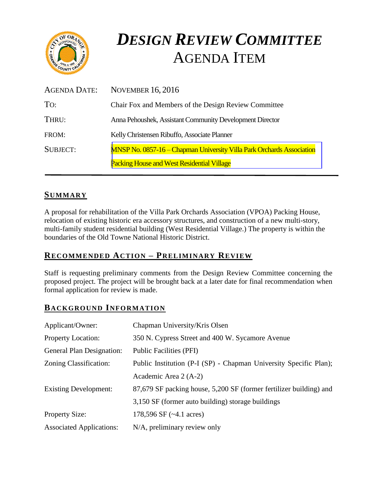

# *DESIGN REVIEW COMMITTEE*  AGENDA ITEM

| AGENDA DATE:    | <b>NOVEMBER 16, 2016</b>                                                     |
|-----------------|------------------------------------------------------------------------------|
| To:             | Chair Fox and Members of the Design Review Committee                         |
| THRU:           | Anna Pehoushek, Assistant Community Development Director                     |
| FROM:           | Kelly Christensen Ribuffo, Associate Planner                                 |
| <b>SUBJECT:</b> | <b>MNSP No. 0857-16 – Chapman University Villa Park Orchards Association</b> |
|                 | <b>Packing House and West Residential Village</b>                            |

# **SUMMARY**

A proposal for rehabilitation of the Villa Park Orchards Association (VPOA) Packing House, relocation of existing historic era accessory structures, and construction of a new multi-story, multi-family student residential building (West Residential Village.) The property is within the boundaries of the Old Towne National Historic District.

## **RECOMMENDED ACTION – PRELIMINARY REVIEW**

Staff is requesting preliminary comments from the Design Review Committee concerning the proposed project. The project will be brought back at a later date for final recommendation when formal application for review is made.

#### **BACKGROUND INFORMATION**

| Applicant/Owner:                | Chapman University/Kris Olsen                                      |
|---------------------------------|--------------------------------------------------------------------|
| <b>Property Location:</b>       | 350 N. Cypress Street and 400 W. Sycamore Avenue                   |
| General Plan Designation:       | <b>Public Facilities (PFI)</b>                                     |
| Zoning Classification:          | Public Institution (P-I (SP) - Chapman University Specific Plan);  |
|                                 | Academic Area 2 (A-2)                                              |
| <b>Existing Development:</b>    | 87,679 SF packing house, 5,200 SF (former fertilizer building) and |
|                                 | 3,150 SF (former auto building) storage buildings                  |
| <b>Property Size:</b>           | 178,596 SF $(-4.1 \text{ acres})$                                  |
| <b>Associated Applications:</b> | N/A, preliminary review only                                       |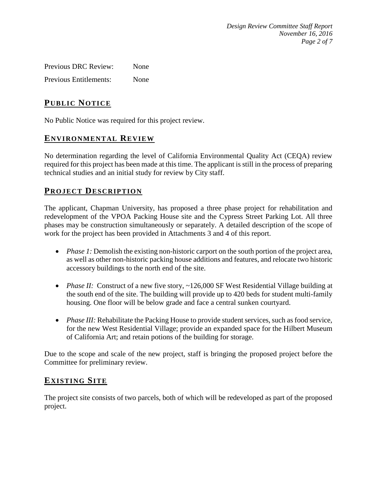*Design Review Committee Staff Report November 16, 2016 Page 2 of 7*

Previous DRC Review: None Previous Entitlements: None

# **PUB LIC NOTICE**

No Public Notice was required for this project review.

### **ENVIRONMENTAL REVIEW**

No determination regarding the level of California Environmental Quality Act (CEQA) review required for this project has been made at this time. The applicant is still in the process of preparing technical studies and an initial study for review by City staff.

#### **PROJECT DESCRIP TION**

The applicant, Chapman University, has proposed a three phase project for rehabilitation and redevelopment of the VPOA Packing House site and the Cypress Street Parking Lot. All three phases may be construction simultaneously or separately. A detailed description of the scope of work for the project has been provided in Attachments 3 and 4 of this report.

- *Phase 1:* Demolish the existing non-historic carport on the south portion of the project area, as well as other non-historic packing house additions and features, and relocate two historic accessory buildings to the north end of the site.
- *Phase II:* Construct of a new five story, ~126,000 SF West Residential Village building at the south end of the site. The building will provide up to 420 beds for student multi-family housing. One floor will be below grade and face a central sunken courtyard.
- *Phase III:* Rehabilitate the Packing House to provide student services, such as food service, for the new West Residential Village; provide an expanded space for the Hilbert Museum of California Art; and retain potions of the building for storage.

Due to the scope and scale of the new project, staff is bringing the proposed project before the Committee for preliminary review.

## **EXISTING SITE**

The project site consists of two parcels, both of which will be redeveloped as part of the proposed project.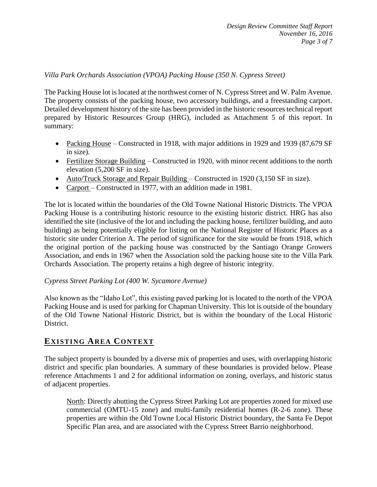#### *Villa Park Orchards Association (VPOA) Packing House (350 N. Cypress Street)*

The Packing House lot is located at the northwest corner of N. Cypress Street and W. Palm Avenue. The property consists of the packing house, two accessory buildings, and a freestanding carport. Detailed development history of the site has been provided in the historic resources technical report prepared by Historic Resources Group (HRG), included as Attachment 5 of this report. In summary:

- Packing House Constructed in 1918, with major additions in 1929 and 1939 (87,679 SF) in size).
- Fertilizer Storage Building Constructed in 1920, with minor recent additions to the north elevation (5,200 SF in size).
- Auto/Truck Storage and Repair Building Constructed in 1920 (3,150 SF in size).
- Carport Constructed in 1977, with an addition made in 1981.

The lot is located within the boundaries of the Old Towne National Historic Districts. The VPOA Packing House is a contributing historic resource to the existing historic district. HRG has also identified the site (inclusive of the lot and including the packing house, fertilizer building, and auto building) as being potentially eligible for listing on the National Register of Historic Places as a historic site under Criterion A. The period of significance for the site would be from 1918, which the original portion of the packing house was constructed by the Santiago Orange Growers Association, and ends in 1967 when the Association sold the packing house site to the Villa Park Orchards Association. The property retains a high degree of historic integrity.

#### *Cypress Street Parking Lot (400 W. Sycamore Avenue)*

Also known as the "Idaho Lot", this existing paved parking lot is located to the north of the VPOA Packing House and is used for parking for Chapman University. This lot is outside of the boundary of the Old Towne National Historic District, but is within the boundary of the Local Historic District.

## **EXISTING AREA CONTEXT**

The subject property is bounded by a diverse mix of properties and uses, with overlapping historic district and specific plan boundaries. A summary of these boundaries is provided below. Please reference Attachments 1 and 2 for additional information on zoning, overlays, and historic status of adjacent properties.

North: Directly abutting the Cypress Street Parking Lot are properties zoned for mixed use commercial (OMTU-15 zone) and multi-family residential homes (R-2-6 zone). These properties are within the Old Towne Local Historic District boundary, the Santa Fe Depot Specific Plan area, and are associated with the Cypress Street Barrio neighborhood.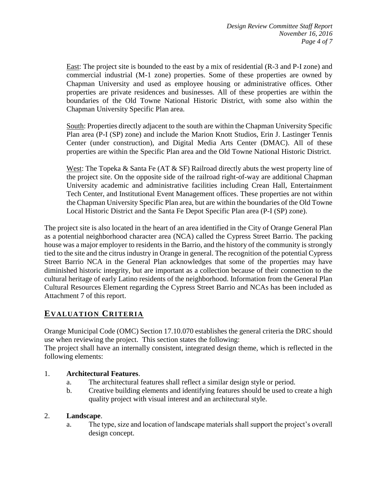East: The project site is bounded to the east by a mix of residential (R-3 and P-I zone) and commercial industrial (M-1 zone) properties. Some of these properties are owned by Chapman University and used as employee housing or administrative offices. Other properties are private residences and businesses. All of these properties are within the boundaries of the Old Towne National Historic District, with some also within the Chapman University Specific Plan area.

South: Properties directly adjacent to the south are within the Chapman University Specific Plan area (P-I (SP) zone) and include the Marion Knott Studios, Erin J. Lastinger Tennis Center (under construction), and Digital Media Arts Center (DMAC). All of these properties are within the Specific Plan area and the Old Towne National Historic District.

West: The Topeka & Santa Fe (AT & SF) Railroad directly abuts the west property line of the project site. On the opposite side of the railroad right-of-way are additional Chapman University academic and administrative facilities including Crean Hall, Entertainment Tech Center, and Institutional Event Management offices. These properties are not within the Chapman University Specific Plan area, but are within the boundaries of the Old Towne Local Historic District and the Santa Fe Depot Specific Plan area (P-I (SP) zone).

The project site is also located in the heart of an area identified in the City of Orange General Plan as a potential neighborhood character area (NCA) called the Cypress Street Barrio. The packing house was a major employer to residents in the Barrio, and the history of the community is strongly tied to the site and the citrus industry in Orange in general. The recognition of the potential Cypress Street Barrio NCA in the General Plan acknowledges that some of the properties may have diminished historic integrity, but are important as a collection because of their connection to the cultural heritage of early Latino residents of the neighborhood. Information from the General Plan Cultural Resources Element regarding the Cypress Street Barrio and NCAs has been included as Attachment 7 of this report.

# **EVALUATION CRITERIA**

Orange Municipal Code (OMC) Section 17.10.070 establishes the general criteria the DRC should use when reviewing the project. This section states the following:

The project shall have an internally consistent, integrated design theme, which is reflected in the following elements:

#### 1. **Architectural Features**.

- a. The architectural features shall reflect a similar design style or period.
- b. Creative building elements and identifying features should be used to create a high quality project with visual interest and an architectural style.

#### 2. **Landscape**.

a. The type, size and location of landscape materials shall support the project's overall design concept.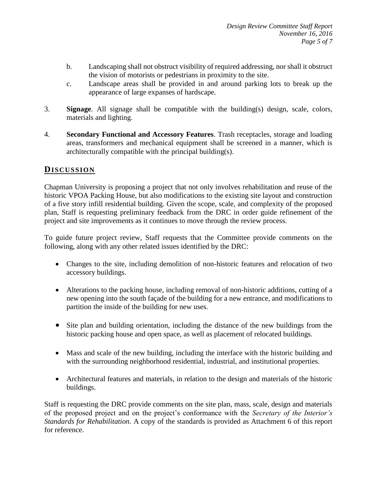- b. Landscaping shall not obstruct visibility of required addressing, nor shall it obstruct the vision of motorists or pedestrians in proximity to the site.
- c. Landscape areas shall be provided in and around parking lots to break up the appearance of large expanses of hardscape.
- 3. **Signage**. All signage shall be compatible with the building(s) design, scale, colors, materials and lighting.
- 4. **Secondary Functional and Accessory Features**. Trash receptacles, storage and loading areas, transformers and mechanical equipment shall be screened in a manner, which is architecturally compatible with the principal building(s).

### **DISCUSSION**

Chapman University is proposing a project that not only involves rehabilitation and reuse of the historic VPOA Packing House, but also modifications to the existing site layout and construction of a five story infill residential building. Given the scope, scale, and complexity of the proposed plan, Staff is requesting preliminary feedback from the DRC in order guide refinement of the project and site improvements as it continues to move through the review process.

To guide future project review, Staff requests that the Committee provide comments on the following, along with any other related issues identified by the DRC:

- Changes to the site, including demolition of non-historic features and relocation of two accessory buildings.
- Alterations to the packing house, including removal of non-historic additions, cutting of a new opening into the south façade of the building for a new entrance, and modifications to partition the inside of the building for new uses.
- Site plan and building orientation, including the distance of the new buildings from the historic packing house and open space, as well as placement of relocated buildings.
- Mass and scale of the new building, including the interface with the historic building and with the surrounding neighborhood residential, industrial, and institutional properties.
- Architectural features and materials, in relation to the design and materials of the historic buildings.

Staff is requesting the DRC provide comments on the site plan, mass, scale, design and materials of the proposed project and on the project's conformance with the *Secretary of the Interior's Standards for Rehabilitation*. A copy of the standards is provided as Attachment 6 of this report for reference.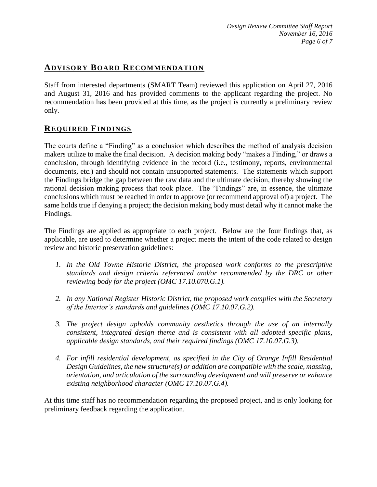## **ADVISORY BOARD RECOMMENDATION**

Staff from interested departments (SMART Team) reviewed this application on April 27, 2016 and August 31, 2016 and has provided comments to the applicant regarding the project. No recommendation has been provided at this time, as the project is currently a preliminary review only.

## **REQUIRED FINDINGS**

The courts define a "Finding" as a conclusion which describes the method of analysis decision makers utilize to make the final decision. A decision making body "makes a Finding," or draws a conclusion, through identifying evidence in the record (i.e., testimony, reports, environmental documents, etc.) and should not contain unsupported statements. The statements which support the Findings bridge the gap between the raw data and the ultimate decision, thereby showing the rational decision making process that took place. The "Findings" are, in essence, the ultimate conclusions which must be reached in order to approve (or recommend approval of) a project. The same holds true if denying a project; the decision making body must detail why it cannot make the Findings.

The Findings are applied as appropriate to each project.Below are the four findings that, as applicable, are used to determine whether a project meets the intent of the code related to design review and historic preservation guidelines:

- *1. In the Old Towne Historic District, the proposed work conforms to the prescriptive standards and design criteria referenced and/or recommended by the DRC or other reviewing body for the project (OMC 17.10.070.G.1).*
- *2. In any National Register Historic District, the proposed work complies with the Secretary of the Interior's standards and guidelines (OMC 17.10.07.G.2).*
- *3. The project design upholds community aesthetics through the use of an internally consistent, integrated design theme and is consistent with all adopted specific plans, applicable design standards, and their required findings (OMC 17.10.07.G.3).*
- *4. For infill residential development, as specified in the City of Orange Infill Residential Design Guidelines, the new structure(s) or addition are compatible with the scale, massing, orientation, and articulation of the surrounding development and will preserve or enhance existing neighborhood character (OMC 17.10.07.G.4).*

At this time staff has no recommendation regarding the proposed project, and is only looking for preliminary feedback regarding the application.